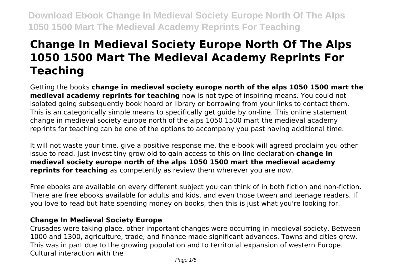# **Change In Medieval Society Europe North Of The Alps 1050 1500 Mart The Medieval Academy Reprints For Teaching**

Getting the books **change in medieval society europe north of the alps 1050 1500 mart the medieval academy reprints for teaching** now is not type of inspiring means. You could not isolated going subsequently book hoard or library or borrowing from your links to contact them. This is an categorically simple means to specifically get guide by on-line. This online statement change in medieval society europe north of the alps 1050 1500 mart the medieval academy reprints for teaching can be one of the options to accompany you past having additional time.

It will not waste your time. give a positive response me, the e-book will agreed proclaim you other issue to read. Just invest tiny grow old to gain access to this on-line declaration **change in medieval society europe north of the alps 1050 1500 mart the medieval academy reprints for teaching** as competently as review them wherever you are now.

Free ebooks are available on every different subject you can think of in both fiction and non-fiction. There are free ebooks available for adults and kids, and even those tween and teenage readers. If you love to read but hate spending money on books, then this is just what you're looking for.

# **Change In Medieval Society Europe**

Crusades were taking place, other important changes were occurring in medieval society. Between 1000 and 1300, agriculture, trade, and finance made significant advances. Towns and cities grew. This was in part due to the growing population and to territorial expansion of western Europe. Cultural interaction with the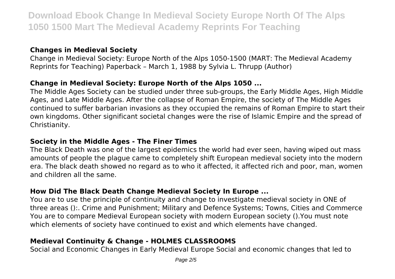### **Changes in Medieval Society**

Change in Medieval Society: Europe North of the Alps 1050-1500 (MART: The Medieval Academy Reprints for Teaching) Paperback – March 1, 1988 by Sylvia L. Thrupp (Author)

# **Change in Medieval Society: Europe North of the Alps 1050 ...**

The Middle Ages Society can be studied under three sub-groups, the Early Middle Ages, High Middle Ages, and Late Middle Ages. After the collapse of Roman Empire, the society of The Middle Ages continued to suffer barbarian invasions as they occupied the remains of Roman Empire to start their own kingdoms. Other significant societal changes were the rise of Islamic Empire and the spread of Christianity.

#### **Society in the Middle Ages - The Finer Times**

The Black Death was one of the largest epidemics the world had ever seen, having wiped out mass amounts of people the plague came to completely shift European medieval society into the modern era. The black death showed no regard as to who it affected, it affected rich and poor, man, women and children all the same.

### **How Did The Black Death Change Medieval Society In Europe ...**

You are to use the principle of continuity and change to investigate medieval society in ONE of three areas ():. Crime and Punishment; Military and Defence Systems; Towns, Cities and Commerce You are to compare Medieval European society with modern European society ().You must note which elements of society have continued to exist and which elements have changed.

### **Medieval Continuity & Change - HOLMES CLASSROOMS**

Social and Economic Changes in Early Medieval Europe Social and economic changes that led to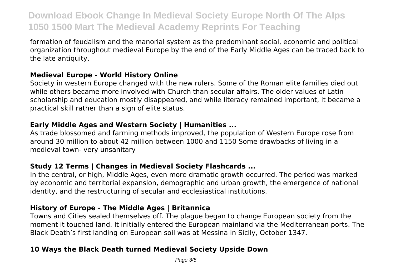formation of feudalism and the manorial system as the predominant social, economic and political organization throughout medieval Europe by the end of the Early Middle Ages can be traced back to the late antiquity.

### **Medieval Europe - World History Online**

Society in western Europe changed with the new rulers. Some of the Roman elite families died out while others became more involved with Church than secular affairs. The older values of Latin scholarship and education mostly disappeared, and while literacy remained important, it became a practical skill rather than a sign of elite status.

#### **Early Middle Ages and Western Society | Humanities ...**

As trade blossomed and farming methods improved, the population of Western Europe rose from around 30 million to about 42 million between 1000 and 1150 Some drawbacks of living in a medieval town- very unsanitary

### **Study 12 Terms | Changes in Medieval Society Flashcards ...**

In the central, or high, Middle Ages, even more dramatic growth occurred. The period was marked by economic and territorial expansion, demographic and urban growth, the emergence of national identity, and the restructuring of secular and ecclesiastical institutions.

### **History of Europe - The Middle Ages | Britannica**

Towns and Cities sealed themselves off. The plague began to change European society from the moment it touched land. It initially entered the European mainland via the Mediterranean ports. The Black Death's first landing on European soil was at Messina in Sicily, October 1347.

### **10 Ways the Black Death turned Medieval Society Upside Down**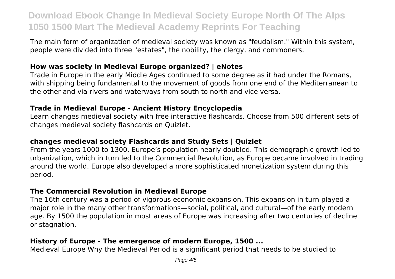The main form of organization of medieval society was known as "feudalism." Within this system, people were divided into three "estates", the nobility, the clergy, and commoners.

#### **How was society in Medieval Europe organized? | eNotes**

Trade in Europe in the early Middle Ages continued to some degree as it had under the Romans, with shipping being fundamental to the movement of goods from one end of the Mediterranean to the other and via rivers and waterways from south to north and vice versa.

#### **Trade in Medieval Europe - Ancient History Encyclopedia**

Learn changes medieval society with free interactive flashcards. Choose from 500 different sets of changes medieval society flashcards on Quizlet.

#### **changes medieval society Flashcards and Study Sets | Quizlet**

From the years 1000 to 1300, Europe's population nearly doubled. This demographic growth led to urbanization, which in turn led to the Commercial Revolution, as Europe became involved in trading around the world. Europe also developed a more sophisticated monetization system during this period.

### **The Commercial Revolution in Medieval Europe**

The 16th century was a period of vigorous economic expansion. This expansion in turn played a major role in the many other transformations—social, political, and cultural—of the early modern age. By 1500 the population in most areas of Europe was increasing after two centuries of decline or stagnation.

# **History of Europe - The emergence of modern Europe, 1500 ...**

Medieval Europe Why the Medieval Period is a significant period that needs to be studied to